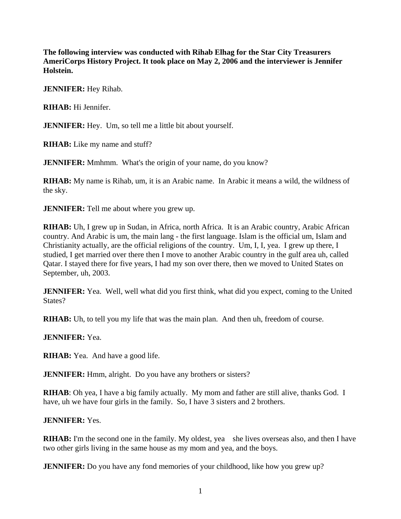**The following interview was conducted with Rihab Elhag for the Star City Treasurers AmeriCorps History Project. It took place on May 2, 2006 and the interviewer is Jennifer Holstein.** 

**JENNIFER:** Hey Rihab.

**RIHAB:** Hi Jennifer.

**JENNIFER:** Hey. Um, so tell me a little bit about yourself.

**RIHAB:** Like my name and stuff?

**JENNIFER:** Mmhmm. What's the origin of your name, do you know?

**RIHAB:** My name is Rihab, um, it is an Arabic name. In Arabic it means a wild, the wildness of the sky.

**JENNIFER:** Tell me about where you grew up.

**RIHAB:** Uh, I grew up in Sudan, in Africa, north Africa. It is an Arabic country, Arabic African country. And Arabic is um, the main lang - the first language. Islam is the official um, Islam and Christianity actually, are the official religions of the country. Um, I, I, yea. I grew up there, I studied, I get married over there then I move to another Arabic country in the gulf area uh, called Qatar. I stayed there for five years, I had my son over there, then we moved to United States on September, uh, 2003.

**JENNIFER:** Yea. Well, well what did you first think, what did you expect, coming to the United States?

**RIHAB:** Uh, to tell you my life that was the main plan. And then uh, freedom of course.

**JENNIFER:** Yea.

**RIHAB:** Yea. And have a good life.

**JENNIFER:** Hmm, alright. Do you have any brothers or sisters?

**RIHAB**: Oh yea, I have a big family actually. My mom and father are still alive, thanks God. I have, uh we have four girls in the family. So, I have 3 sisters and 2 brothers.

**JENNIFER:** Yes.

**RIHAB:** I'm the second one in the family. My oldest, yea she lives overseas also, and then I have two other girls living in the same house as my mom and yea, and the boys.

**JENNIFER:** Do you have any fond memories of your childhood, like how you grew up?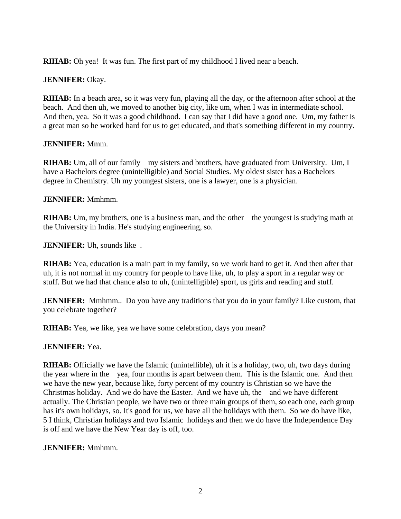**RIHAB:** Oh yea! It was fun. The first part of my childhood I lived near a beach.

## **JENNIFER:** Okay.

**RIHAB:** In a beach area, so it was very fun, playing all the day, or the afternoon after school at the beach. And then uh, we moved to another big city, like um, when I was in intermediate school. And then, yea. So it was a good childhood. I can say that I did have a good one. Um, my father is a great man so he worked hard for us to get educated, and that's something different in my country.

## **JENNIFER:** Mmm.

**RIHAB:** Um, all of our family my sisters and brothers, have graduated from University. Um, I have a Bachelors degree (unintelligible) and Social Studies. My oldest sister has a Bachelors degree in Chemistry. Uh my youngest sisters, one is a lawyer, one is a physician.

## **JENNIFER:** Mmhmm.

**RIHAB:** Um, my brothers, one is a business man, and the other the youngest is studying math at the University in India. He's studying engineering, so.

**JENNIFER:** Uh, sounds like .

**RIHAB:** Yea, education is a main part in my family, so we work hard to get it. And then after that uh, it is not normal in my country for people to have like, uh, to play a sport in a regular way or stuff. But we had that chance also to uh, (unintelligible) sport, us girls and reading and stuff.

**JENNIFER:** Mmhmm.. Do you have any traditions that you do in your family? Like custom, that you celebrate together?

**RIHAB:** Yea, we like, yea we have some celebration, days you mean?

# **JENNIFER:** Yea.

**RIHAB:** Officially we have the Islamic (unintellible), uh it is a holiday, two, uh, two days during the year where in the yea, four months is apart between them. This is the Islamic one. And then we have the new year, because like, forty percent of my country is Christian so we have the Christmas holiday. And we do have the Easter. And we have uh, the and we have different actually. The Christian people, we have two or three main groups of them, so each one, each group has it's own holidays, so. It's good for us, we have all the holidays with them. So we do have like, 5 I think, Christian holidays and two Islamic holidays and then we do have the Independence Day is off and we have the New Year day is off, too.

## **JENNIFER:** Mmhmm.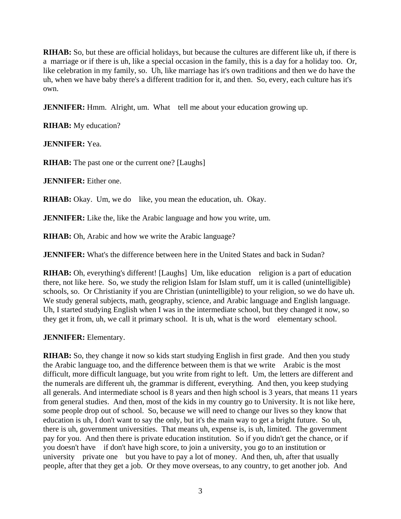**RIHAB:** So, but these are official holidays, but because the cultures are different like uh, if there is a marriage or if there is uh, like a special occasion in the family, this is a day for a holiday too. Or, like celebration in my family, so. Uh, like marriage has it's own traditions and then we do have the uh, when we have baby there's a different tradition for it, and then. So, every, each culture has it's own.

**JENNIFER:** Hmm. Alright, um. What tell me about your education growing up.

**RIHAB:** My education?

**JENNIFER:** Yea.

**RIHAB:** The past one or the current one? [Laughs]

**JENNIFER:** Either one.

**RIHAB:** Okay. Um, we do like, you mean the education, uh. Okay.

**JENNIFER:** Like the, like the Arabic language and how you write, um.

**RIHAB:** Oh, Arabic and how we write the Arabic language?

**JENNIFER:** What's the difference between here in the United States and back in Sudan?

**RIHAB:** Oh, everything's different! [Laughs] Um, like education religion is a part of education there, not like here. So, we study the religion Islam for Islam stuff, um it is called (unintelligible) schools, so. Or Christianity if you are Christian (unintelligible) to your religion, so we do have uh. We study general subjects, math, geography, science, and Arabic language and English language. Uh, I started studying English when I was in the intermediate school, but they changed it now, so they get it from, uh, we call it primary school. It is uh, what is the word elementary school.

**JENNIFER:** Elementary.

**RIHAB:** So, they change it now so kids start studying English in first grade. And then you study the Arabic language too, and the difference between them is that we write Arabic is the most difficult, more difficult language, but you write from right to left. Um, the letters are different and the numerals are different uh, the grammar is different, everything. And then, you keep studying all generals. And intermediate school is 8 years and then high school is 3 years, that means 11 years from general studies. And then, most of the kids in my country go to University. It is not like here, some people drop out of school. So, because we will need to change our lives so they know that education is uh, I don't want to say the only, but it's the main way to get a bright future. So uh, there is uh, government universities. That means uh, expense is, is uh, limited. The government pay for you. And then there is private education institution. So if you didn't get the chance, or if you doesn't have if don't have high score, to join a university, you go to an institution or university private one but you have to pay a lot of money. And then, uh, after that usually people, after that they get a job. Or they move overseas, to any country, to get another job. And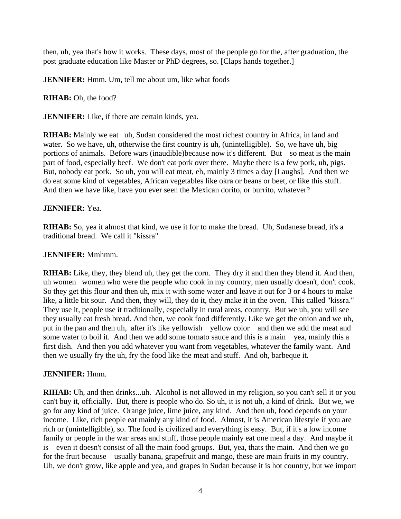then, uh, yea that's how it works. These days, most of the people go for the, after graduation, the post graduate education like Master or PhD degrees, so. [Claps hands together.]

**JENNIFER:** Hmm. Um, tell me about um, like what foods

**RIHAB:** Oh, the food?

**JENNIFER:** Like, if there are certain kinds, yea.

**RIHAB:** Mainly we eat uh, Sudan considered the most richest country in Africa, in land and water. So we have, uh, otherwise the first country is uh, (unintelligible). So, we have uh, big portions of animals. Before wars (inaudible)because now it's different. But so meat is the main part of food, especially beef. We don't eat pork over there. Maybe there is a few pork, uh, pigs. But, nobody eat pork. So uh, you will eat meat, eh, mainly 3 times a day [Laughs]. And then we do eat some kind of vegetables, African vegetables like okra or beans or beet, or like this stuff. And then we have like, have you ever seen the Mexican dorito, or burrito, whatever?

### **JENNIFER:** Yea.

**RIHAB:** So, yea it almost that kind, we use it for to make the bread. Uh, Sudanese bread, it's a traditional bread. We call it "kissra"

### **JENNIFER:** Mmhmm.

**RIHAB:** Like, they, they blend uh, they get the corn. They dry it and then they blend it. And then, uh women women who were the people who cook in my country, men usually doesn't, don't cook. So they get this flour and then uh, mix it with some water and leave it out for 3 or 4 hours to make like, a little bit sour. And then, they will, they do it, they make it in the oven. This called "kissra." They use it, people use it traditionally, especially in rural areas, country. But we uh, you will see they usually eat fresh bread. And then, we cook food differently. Like we get the onion and we uh, put in the pan and then uh, after it's like yellowish yellow color and then we add the meat and some water to boil it. And then we add some tomato sauce and this is a main yea, mainly this a first dish. And then you add whatever you want from vegetables, whatever the family want. And then we usually fry the uh, fry the food like the meat and stuff. And oh, barbeque it.

#### **JENNIFER:** Hmm.

**RIHAB:** Uh, and then drinks...uh. Alcohol is not allowed in my religion, so you can't sell it or you can't buy it, officially. But, there is people who do. So uh, it is not uh, a kind of drink. But we, we go for any kind of juice. Orange juice, lime juice, any kind. And then uh, food depends on your income. Like, rich people eat mainly any kind of food. Almost, it is American lifestyle if you are rich or (unintelligible), so. The food is civilized and everything is easy. But, if it's a low income family or people in the war areas and stuff, those people mainly eat one meal a day. And maybe it is even it doesn't consist of all the main food groups. But, yea, thats the main. And then we go for the fruit because usually banana, grapefruit and mango, these are main fruits in my country. Uh, we don't grow, like apple and yea, and grapes in Sudan because it is hot country, but we import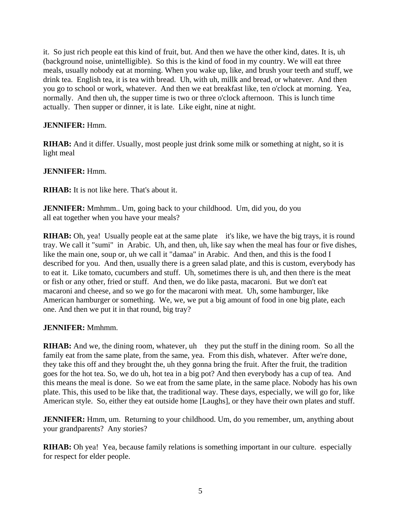it. So just rich people eat this kind of fruit, but. And then we have the other kind, dates. It is, uh (background noise, unintelligible). So this is the kind of food in my country. We will eat three meals, usually nobody eat at morning. When you wake up, like, and brush your teeth and stuff, we drink tea. English tea, it is tea with bread. Uh, with uh, millk and bread, or whatever. And then you go to school or work, whatever. And then we eat breakfast like, ten o'clock at morning. Yea, normally. And then uh, the supper time is two or three o'clock afternoon. This is lunch time actually. Then supper or dinner, it is late. Like eight, nine at night.

## **JENNIFER:** Hmm.

**RIHAB:** And it differ. Usually, most people just drink some milk or something at night, so it is light meal

## **JENNIFER:** Hmm.

**RIHAB:** It is not like here. That's about it.

**JENNIFER:** Mmhmm.. Um, going back to your childhood. Um, did you, do you all eat together when you have your meals?

**RIHAB:** Oh, yea! Usually people eat at the same plate it's like, we have the big trays, it is round tray. We call it "sumi" in Arabic. Uh, and then, uh, like say when the meal has four or five dishes, like the main one, soup or, uh we call it "damaa" in Arabic. And then, and this is the food I described for you. And then, usually there is a green salad plate, and this is custom, everybody has to eat it. Like tomato, cucumbers and stuff. Uh, sometimes there is uh, and then there is the meat or fish or any other, fried or stuff. And then, we do like pasta, macaroni. But we don't eat macaroni and cheese, and so we go for the macaroni with meat. Uh, some hamburger, like American hamburger or something. We, we, we put a big amount of food in one big plate, each one. And then we put it in that round, big tray?

## **JENNIFER:** Mmhmm.

**RIHAB:** And we, the dining room, whatever, uh they put the stuff in the dining room. So all the family eat from the same plate, from the same, yea. From this dish, whatever. After we're done, they take this off and they brought the, uh they gonna bring the fruit. After the fruit, the tradition goes for the hot tea. So, we do uh, hot tea in a big pot? And then everybody has a cup of tea. And this means the meal is done. So we eat from the same plate, in the same place. Nobody has his own plate. This, this used to be like that, the traditional way. These days, especially, we will go for, like American style. So, either they eat outside home [Laughs], or they have their own plates and stuff.

**JENNIFER:** Hmm, um. Returning to your childhood. Um, do you remember, um, anything about your grandparents? Any stories?

**RIHAB:** Oh yea! Yea, because family relations is something important in our culture. especially for respect for elder people.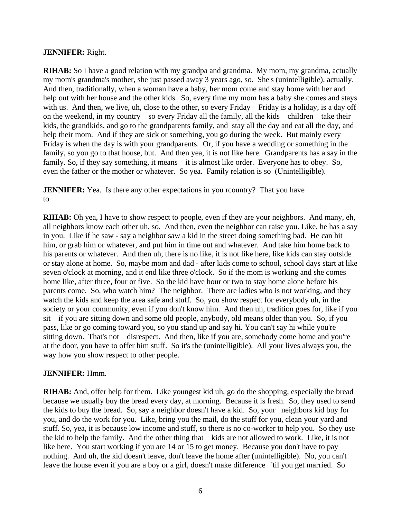### **JENNIFER:** Right.

**RIHAB:** So I have a good relation with my grandpa and grandma. My mom, my grandma, actually my mom's grandma's mother, she just passed away 3 years ago, so. She's (unintelligible), actually. And then, traditionally, when a woman have a baby, her mom come and stay home with her and help out with her house and the other kids. So, every time my mom has a baby she comes and stays with us. And then, we live, uh, close to the other, so every Friday Friday is a holiday, is a day off on the weekend, in my country so every Friday all the family, all the kids children take their kids, the grandkids, and go to the grandparents family, and stay all the day and eat all the day, and help their mom. And if they are sick or something, you go during the week. But mainly every Friday is when the day is with your grandparents. Or, if you have a wedding or something in the family, so you go to that house, but. And then yea, it is not like here. Grandparents has a say in the family. So, if they say something, it means it is almost like order. Everyone has to obey. So, even the father or the mother or whatever. So yea. Family relation is so (Unintelligible).

**JENNIFER:** Yea. Is there any other expectations in you rcountry? That you have to

**RIHAB:** Oh yea, I have to show respect to people, even if they are your neighbors. And many, eh, all neighbors know each other uh, so. And then, even the neighbor can raise you. Like, he has a say in you. Like if he saw - say a neighbor saw a kid in the street doing something bad. He can hit him, or grab him or whatever, and put him in time out and whatever. And take him home back to his parents or whatever. And then uh, there is no like, it is not like here, like kids can stay outside or stay alone at home. So, maybe mom and dad - after kids come to school, school days start at like seven o'clock at morning, and it end like three o'clock. So if the mom is working and she comes home like, after three, four or five. So the kid have hour or two to stay home alone before his parents come. So, who watch him? The neighbor. There are ladies who is not working, and they watch the kids and keep the area safe and stuff. So, you show respect for everybody uh, in the society or your community, even if you don't know him. And then uh, tradition goes for, like if you sit if you are sitting down and some old people, anybody, old means older than you. So, if you pass, like or go coming toward you, so you stand up and say hi. You can't say hi while you're sitting down. That's not disrespect. And then, like if you are, somebody come home and you're at the door, you have to offer him stuff. So it's the (unintelligible). All your lives always you, the way how you show respect to other people.

#### **JENNIFER:** Hmm.

**RIHAB:** And, offer help for them. Like youngest kid uh, go do the shopping, especially the bread because we usually buy the bread every day, at morning. Because it is fresh. So, they used to send the kids to buy the bread. So, say a neighbor doesn't have a kid. So, your neighbors kid buy for you, and do the work for you. Like, bring you the mail, do the stuff for you, clean your yard and stuff. So, yea, it is because low income and stuff, so there is no co-worker to help you. So they use the kid to help the family. And the other thing that kids are not allowed to work. Like, it is not like here. You start working if you are 14 or 15 to get money. Because you don't have to pay nothing. And uh, the kid doesn't leave, don't leave the home after (unintelligible). No, you can't leave the house even if you are a boy or a girl, doesn't make difference 'til you get married. So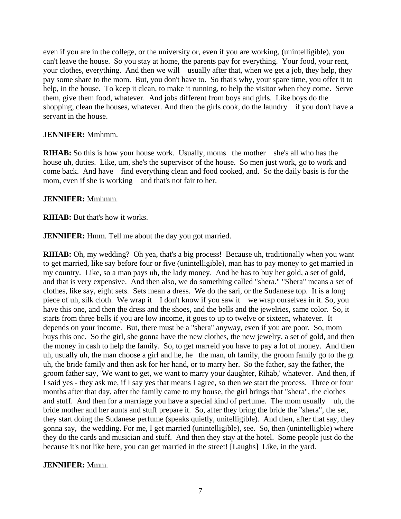even if you are in the college, or the university or, even if you are working, (unintelligible), you can't leave the house. So you stay at home, the parents pay for everything. Your food, your rent, your clothes, everything. And then we will usually after that, when we get a job, they help, they pay some share to the mom. But, you don't have to. So that's why, your spare time, you offer it to help, in the house. To keep it clean, to make it running, to help the visitor when they come. Serve them, give them food, whatever. And jobs different from boys and girls. Like boys do the shopping, clean the houses, whatever. And then the girls cook, do the laundry if you don't have a servant in the house.

#### **JENNIFER:** Mmhmm.

**RIHAB:** So this is how your house work. Usually, moms the mother she's all who has the house uh, duties. Like, um, she's the supervisor of the house. So men just work, go to work and come back. And have find everything clean and food cooked, and. So the daily basis is for the mom, even if she is working and that's not fair to her.

### **JENNIFER:** Mmhmm.

**RIHAB:** But that's how it works.

**JENNIFER:** Hmm. Tell me about the day you got married.

**RIHAB:** Oh, my wedding? Oh yea, that's a big process! Because uh, traditionally when you want to get married, like say before four or five (unintelligible), man has to pay money to get married in my country. Like, so a man pays uh, the lady money. And he has to buy her gold, a set of gold, and that is very expensive. And then also, we do something called "shera." "Shera" means a set of clothes, like say, eight sets. Sets mean a dress. We do the sari, or the Sudanese top. It is a long piece of uh, silk cloth. We wrap it I don't know if you saw it we wrap ourselves in it. So, you have this one, and then the dress and the shoes, and the bells and the jewelries, same color. So, it starts from three bells if you are low income, it goes to up to twelve or sixteen, whatever. It depends on your income. But, there must be a "shera" anyway, even if you are poor. So, mom buys this one. So the girl, she gonna have the new clothes, the new jewelry, a set of gold, and then the money in cash to help the family. So, to get marreid you have to pay a lot of money. And then uh, usually uh, the man choose a girl and he, he the man, uh family, the groom family go to the gr uh, the bride family and then ask for her hand, or to marry her. So the father, say the father, the groom father say, 'We want to get, we want to marry your daughter, Rihab,' whatever. And then, if I said yes - they ask me, if I say yes that means I agree, so then we start the process. Three or four months after that day, after the family came to my house, the girl brings that "shera", the clothes and stuff. And then for a marriage you have a special kind of perfume. The mom usually uh, the bride mother and her aunts and stuff prepare it. So, after they bring the bride the "shera", the set, they start doing the Sudanese perfume (speaks quietly, unitelligible). And then, after that say, they gonna say, the wedding. For me, I get married (unintelligible), see. So, then (unintelligble) where they do the cards and musician and stuff. And then they stay at the hotel. Some people just do the because it's not like here, you can get married in the street! [Laughs] Like, in the yard.

## **JENNIFER:** Mmm.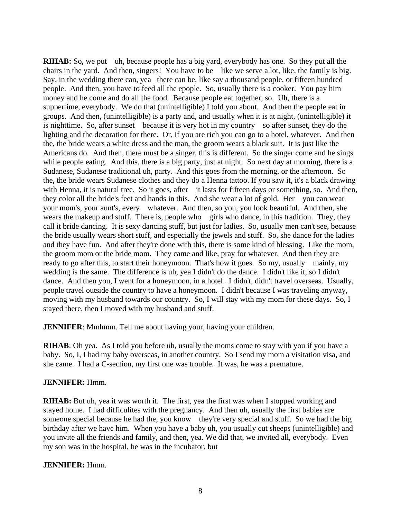**RIHAB:** So, we put uh, because people has a big yard, everybody has one. So they put all the chairs in the yard. And then, singers! You have to be like we serve a lot, like, the family is big. Say, in the wedding there can, yea there can be, like say a thousand people, or fifteen hundred people. And then, you have to feed all the epople. So, usually there is a cooker. You pay him money and he come and do all the food. Because people eat together, so. Uh, there is a suppertime, everybody. We do that (unintelligible) I told you about. And then the people eat in groups. And then, (unintelligible) is a party and, and usually when it is at night, (unintelligible) it is nighttime. So, after sunset because it is very hot in my country so after sunset, they do the lighting and the decoration for there. Or, if you are rich you can go to a hotel, whatever. And then the, the bride wears a white dress and the man, the groom wears a black suit. It is just like the Americans do. And then, there must be a singer, this is different. So the singer come and he sings while people eating. And this, there is a big party, just at night. So next day at morning, there is a Sudanese, Sudanese traditional uh, party. And this goes from the morning, or the afternoon. So the, the bride wears Sudanese clothes and they do a Henna tattoo. If you saw it, it's a black drawing with Henna, it is natural tree. So it goes, after it lasts for fifteen days or something, so. And then, they color all the bride's feet and hands in this. And she wear a lot of gold. Her you can wear your mom's, your aunt's, every whatever. And then, so you, you look beautiful. And then, she wears the makeup and stuff. There is, people who girls who dance, in this tradition. They, they call it bride dancing. It is sexy dancing stuff, but just for ladies. So, usually men can't see, because the bride usually wears short stuff, and especially the jewels and stuff. So, she dance for the ladies and they have fun. And after they're done with this, there is some kind of blessing. Like the mom, the groom mom or the bride mom. They came and like, pray for whatever. And then they are ready to go after this, to start their honeymoon. That's how it goes. So my, usually mainly, my wedding is the same. The difference is uh, yea I didn't do the dance. I didn't like it, so I didn't dance. And then you, I went for a honeymoon, in a hotel. I didn't, didn't travel overseas. Usually, people travel outside the country to have a honeymoon. I didn't because I was traveling anyway, moving with my husband towards our country. So, I will stay with my mom for these days. So, I stayed there, then I moved with my husband and stuff.

**JENNIFER:** Mmhmm. Tell me about having your, having your children.

**RIHAB**: Oh yea. As I told you before uh, usually the moms come to stay with you if you have a baby. So, I, I had my baby overseas, in another country. So I send my mom a visitation visa, and she came. I had a C-section, my first one was trouble. It was, he was a premature.

## **JENNIFER:** Hmm.

**RIHAB:** But uh, yea it was worth it. The first, yea the first was when I stopped working and stayed home. I had difficulites with the pregnancy. And then uh, usually the first babies are someone special because he had the, you know they're very special and stuff. So we had the big birthday after we have him. When you have a baby uh, you usually cut sheeps (unintelligible) and you invite all the friends and family, and then, yea. We did that, we invited all, everybody. Even my son was in the hospital, he was in the incubator, but

## **JENNIFER:** Hmm.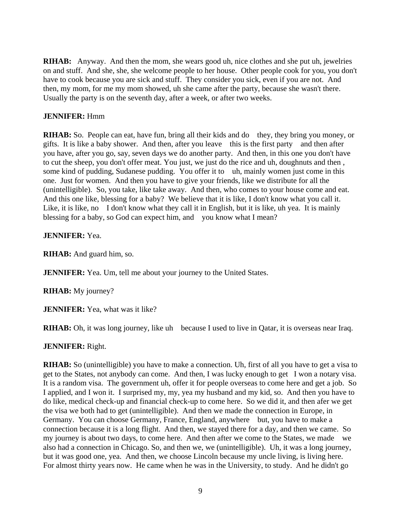**RIHAB:** Anyway. And then the mom, she wears good uh, nice clothes and she put uh, jewelries on and stuff. And she, she, she welcome people to her house. Other people cook for you, you don't have to cook because you are sick and stuff. They consider you sick, even if you are not. And then, my mom, for me my mom showed, uh she came after the party, because she wasn't there. Usually the party is on the seventh day, after a week, or after two weeks.

### **JENNIFER:** Hmm

**RIHAB:** So. People can eat, have fun, bring all their kids and do they, they bring you money, or gifts. It is like a baby shower. And then, after you leave this is the first party and then after you have, after you go, say, seven days we do another party. And then, in this one you don't have to cut the sheep, you don't offer meat. You just, we just do the rice and uh, doughnuts and then , some kind of pudding, Sudanese pudding. You offer it to uh, mainly women just come in this one. Just for women. And then you have to give your friends, like we distribute for all the (unintelligible). So, you take, like take away. And then, who comes to your house come and eat. And this one like, blessing for a baby? We believe that it is like, I don't know what you call it. Like, it is like, no I don't know what they call it in English, but it is like, uh yea. It is mainly blessing for a baby, so God can expect him, and you know what I mean?

### **JENNIFER:** Yea.

**RIHAB:** And guard him, so.

**JENNIFER:** Yea. Um, tell me about your journey to the United States.

**RIHAB:** My journey?

**JENNIFER:** Yea, what was it like?

**RIHAB:** Oh, it was long journey, like uh because I used to live in Qatar, it is overseas near Iraq.

**JENNIFER:** Right.

**RIHAB:** So (unintelligible) you have to make a connection. Uh, first of all you have to get a visa to get to the States, not anybody can come. And then, I was lucky enough to get I won a notary visa. It is a random visa. The government uh, offer it for people overseas to come here and get a job. So I applied, and I won it. I surprised my, my, yea my husband and my kid, so. And then you have to do like, medical check-up and financial check-up to come here. So we did it, and then afer we get the visa we both had to get (unintelligible). And then we made the connection in Europe, in Germany. You can choose Germany, France, England, anywhere but, you have to make a connection because it is a long flight. And then, we stayed there for a day, and then we came. So my journey is about two days, to come here. And then after we come to the States, we made we also had a connection in Chicago. So, and then we, we (unintelligible). Uh, it was a long journey, but it was good one, yea. And then, we choose Lincoln because my uncle living, is living here. For almost thirty years now. He came when he was in the University, to study. And he didn't go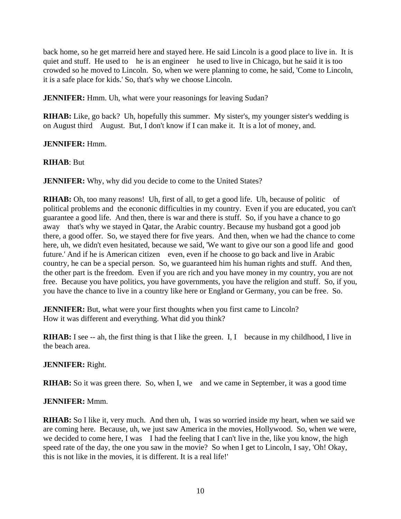back home, so he get marreid here and stayed here. He said Lincoln is a good place to live in. It is quiet and stuff. He used to he is an engineer he used to live in Chicago, but he said it is too crowded so he moved to Lincoln. So, when we were planning to come, he said, 'Come to Lincoln, it is a safe place for kids.' So, that's why we choose Lincoln.

**JENNIFER:** Hmm. Uh, what were your reasonings for leaving Sudan?

**RIHAB:** Like, go back? Uh, hopefully this summer. My sister's, my younger sister's wedding is on August third August. But, I don't know if I can make it. It is a lot of money, and.

### **JENNIFER:** Hmm.

### **RIHAB**: But

**JENNIFER:** Why, why did you decide to come to the United States?

**RIHAB:** Oh, too many reasons! Uh, first of all, to get a good life. Uh, because of politic of political problems and the econonic difficulties in my country. Even if you are educated, you can't guarantee a good life. And then, there is war and there is stuff. So, if you have a chance to go away that's why we stayed in Qatar, the Arabic country. Because my husband got a good job there, a good offer. So, we stayed there for five years. And then, when we had the chance to come here, uh, we didn't even hesitated, because we said, 'We want to give our son a good life and good future.' And if he is American citizen even, even if he choose to go back and live in Arabic country, he can be a special person. So, we guaranteed him his human rights and stuff. And then, the other part is the freedom. Even if you are rich and you have money in my country, you are not free. Because you have politics, you have governments, you have the religion and stuff. So, if you, you have the chance to live in a country like here or England or Germany, you can be free. So.

**JENNIFER:** But, what were your first thoughts when you first came to Lincoln? How it was different and everything. What did you think?

**RIHAB:** I see -- ah, the first thing is that I like the green. I, I because in my childhood, I live in the beach area.

#### **JENNIFER:** Right.

**RIHAB:** So it was green there. So, when I, we and we came in September, it was a good time

#### **JENNIFER:** Mmm.

**RIHAB:** So I like it, very much. And then uh, I was so worried inside my heart, when we said we are coming here. Because, uh, we just saw America in the movies, Hollywood. So, when we were, we decided to come here, I was I had the feeling that I can't live in the, like you know, the high speed rate of the day, the one you saw in the movie? So when I get to Lincoln, I say, 'Oh! Okay, this is not like in the movies, it is different. It is a real life!'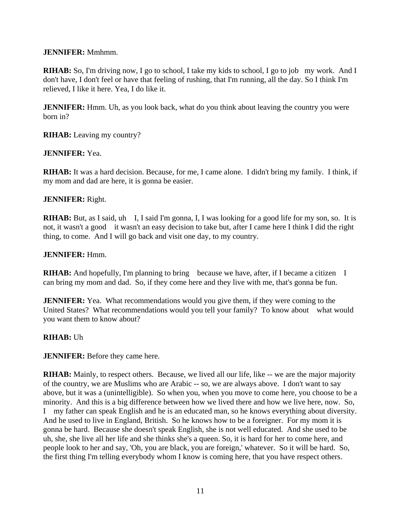### **JENNIFER:** Mmhmm.

**RIHAB:** So, I'm driving now, I go to school, I take my kids to school, I go to job my work. And I don't have, I don't feel or have that feeling of rushing, that I'm running, all the day. So I think I'm relieved, I like it here. Yea, I do like it.

**JENNIFER:** Hmm. Uh, as you look back, what do you think about leaving the country you were born in?

**RIHAB:** Leaving my country?

### **JENNIFER:** Yea.

**RIHAB:** It was a hard decision. Because, for me, I came alone. I didn't bring my family. I think, if my mom and dad are here, it is gonna be easier.

### **JENNIFER:** Right.

**RIHAB:** But, as I said, uh I, I said I'm gonna, I, I was looking for a good life for my son, so. It is not, it wasn't a good it wasn't an easy decision to take but, after I came here I think I did the right thing, to come. And I will go back and visit one day, to my country.

### **JENNIFER:** Hmm.

**RIHAB:** And hopefully, I'm planning to bring because we have, after, if I became a citizen I can bring my mom and dad. So, if they come here and they live with me, that's gonna be fun.

**JENNIFER:** Yea. What recommendations would you give them, if they were coming to the United States? What recommendations would you tell your family? To know about what would you want them to know about?

## **RIHAB:** Uh

**JENNIFER:** Before they came here.

**RIHAB:** Mainly, to respect others. Because, we lived all our life, like -- we are the major majority of the country, we are Muslims who are Arabic -- so, we are always above. I don't want to say above, but it was a (unintelligible). So when you, when you move to come here, you choose to be a minority. And this is a big difference between how we lived there and how we live here, now. So, I my father can speak English and he is an educated man, so he knows everything about diversity. And he used to live in England, British. So he knows how to be a foreigner. For my mom it is gonna be hard. Because she doesn't speak English, she is not well educated. And she used to be uh, she, she live all her life and she thinks she's a queen. So, it is hard for her to come here, and people look to her and say, 'Oh, you are black, you are foreign,' whatever. So it will be hard. So, the first thing I'm telling everybody whom I know is coming here, that you have respect others.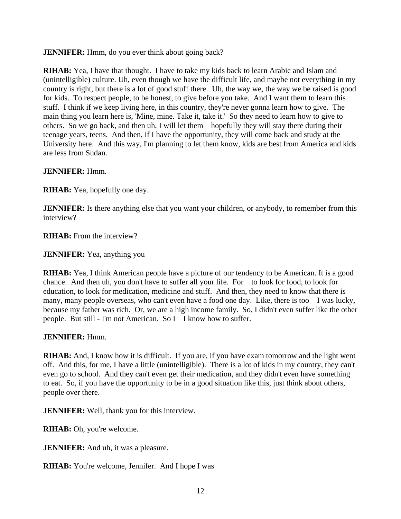**JENNIFER:** Hmm, do you ever think about going back?

**RIHAB:** Yea, I have that thought. I have to take my kids back to learn Arabic and Islam and (unintelligible) culture. Uh, even though we have the difficult life, and maybe not everything in my country is right, but there is a lot of good stuff there. Uh, the way we, the way we be raised is good for kids. To respect people, to be honest, to give before you take. And I want them to learn this stuff. I think if we keep living here, in this country, they're never gonna learn how to give. The main thing you learn here is, 'Mine, mine. Take it, take it.' So they need to learn how to give to others. So we go back, and then uh, I will let them hopefully they will stay there during their teenage years, teens. And then, if I have the opportunity, they will come back and study at the University here. And this way, I'm planning to let them know, kids are best from America and kids are less from Sudan.

**JENNIFER:** Hmm.

**RIHAB:** Yea, hopefully one day.

**JENNIFER:** Is there anything else that you want your children, or anybody, to remember from this interview?

**RIHAB:** From the interview?

**JENNIFER:** Yea, anything you

**RIHAB:** Yea, I think American people have a picture of our tendency to be American. It is a good chance. And then uh, you don't have to suffer all your life. For to look for food, to look for education, to look for medication, medicine and stuff. And then, they need to know that there is many, many people overseas, who can't even have a food one day. Like, there is too I was lucky, because my father was rich. Or, we are a high income family. So, I didn't even suffer like the other people. But still - I'm not American. So I I know how to suffer.

#### **JENNIFER:** Hmm.

**RIHAB:** And, I know how it is difficult. If you are, if you have exam tomorrow and the light went off. And this, for me, I have a little (unintelligible). There is a lot of kids in my country, they can't even go to school. And they can't even get their medication, and they didn't even have something to eat. So, if you have the opportunity to be in a good situation like this, just think about others, people over there.

**JENNIFER:** Well, thank you for this interview.

**RIHAB:** Oh, you're welcome.

**JENNIFER:** And uh, it was a pleasure.

**RIHAB:** You're welcome, Jennifer. And I hope I was